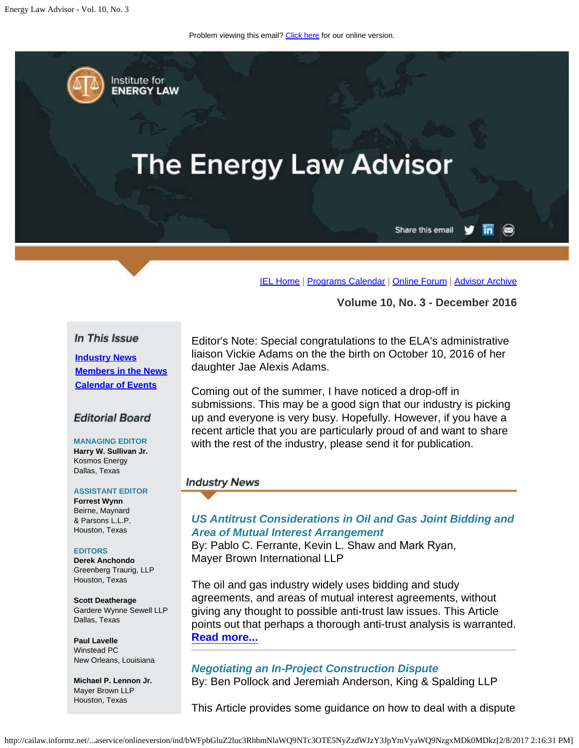Problem viewing this email? [Click here](#page-0-0) for our online version.

<span id="page-0-0"></span>

# **The Energy Law Advisor**

Share this email in

 $\circledcirc$ 

[IEL Home](http://www.cailaw.org/institute-for-energy-law/index.html?utm_source=Informz&utm_medium=Email&utm_campaign=Event+Details) | [Programs Calendar](http://www.cailaw.org/institute-for-energy-law/programs-calendar.html?utm_source=Informz&utm_medium=Email&utm_campaign=Event+Details) | [Online Forum](https://www.linkedin.com/groups?gid=2330688&trk=myg_ugrp_ovr) | [Advisor Archive](http://www.cailaw.org/institute-for-energy-law/publications/energy-law-advisor.html?utm_source=Informz&utm_medium=Email&utm_campaign=Event+Details)

**Volume 10, No. 3 - December 2016**

## In This Issue

**[Industry News](#page-0-0) [Members in the News](#page-0-0) [Calendar of Events](#page-0-0)**

# **Editorial Board**

# **MANAGING EDITOR**

**Harry W. Sullivan Jr.** Kosmos Energy Dallas, Texas

#### **ASSISTANT EDITOR**

**Forrest Wynn** Beirne, Maynard & Parsons L.L.P. Houston, Texas

#### **EDITORS**

**Derek Anchondo** Greenberg Traurig, LLP Houston, Texas

**Scott Deatherage** Gardere Wynne Sewell LLP Dallas, Texas

**Paul Lavelle** Winstead PC New Orleans, Louisiana

**Michael P. Lennon Jr.** Mayer Brown LLP Houston, Texas

Editor's Note: Special congratulations to the ELA's administrative liaison Vickie Adams on the the birth on October 10, 2016 of her daughter Jae Alexis Adams.

Coming out of the summer, I have noticed a drop-off in submissions. This may be a good sign that our industry is picking up and everyone is very busy. Hopefully. However, if you have a recent article that you are particularly proud of and want to share with the rest of the industry, please send it for publication.

# **Industry News**

# *US Antitrust Considerations in Oil and Gas Joint Bidding and Area of Mutual Interest Arrangement*

By: Pablo C. Ferrante, Kevin L. Shaw and Mark Ryan, Mayer Brown International LLP

The oil and gas industry widely uses bidding and study agreements, and areas of mutual interest agreements, without giving any thought to possible anti-trust law issues. This Article points out that perhaps a thorough anti-trust analysis is warranted. **[Read more...](http://www.cailaw.org/media/files/IEL/Publications/2016/us-antitrust-vol10no3.pdf)**

# *Negotiating an In-Project Construction Dispute* By: Ben Pollock and Jeremiah Anderson, King & Spalding LLP

This Article provides some guidance on how to deal with a dispute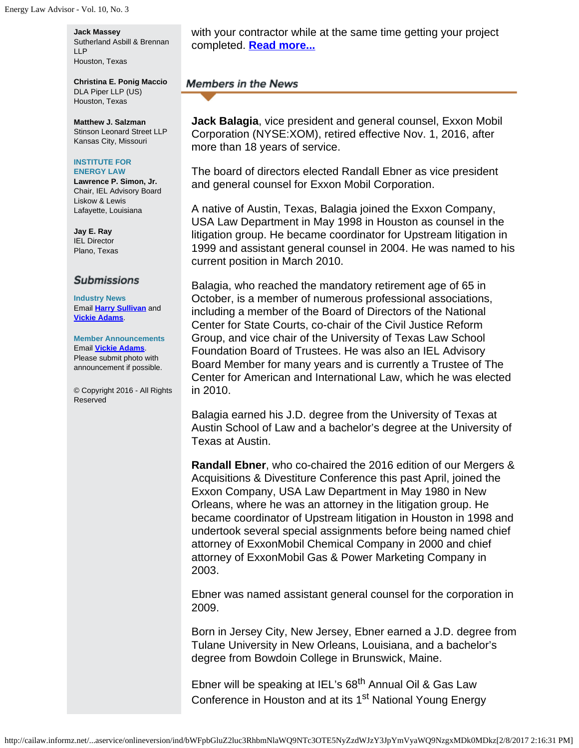#### **Jack Massey**

Sutherland Asbill & Brennan LLP Houston, Texas

**Christina E. Ponig Maccio** DLA Piper LLP (US) Houston, Texas

**Matthew J. Salzman** Stinson Leonard Street LLP Kansas City, Missouri

#### **INSTITUTE FOR ENERGY LAW**

**Lawrence P. Simon, Jr.** Chair, IEL Advisory Board Liskow & Lewis Lafayette, Louisiana

**Jay E. Ray** IEL Director Plano, Texas

#### **Submissions**

**Industry News** Email **[Harry Sullivan](mailto:sullivanhw@aol.com)** and **[Vickie Adams](mailto:vadams@cailaw.org)**.

**Member Announcements** Email **[Vickie Adams](mailto:vadams@cailaw.org)**. Please submit photo with announcement if possible.

© Copyright 2016 - All Rights Reserved

with your contractor while at the same time getting your project completed. **[Read more...](http://www.cailaw.org/media/files/IEL/Publications/2016/negotiating-construction-vol10no3.pdf)**

## **Members in the News**

**Jack Balagia**, vice president and general counsel, Exxon Mobil Corporation (NYSE:XOM), retired effective Nov. 1, 2016, after more than 18 years of service.

The board of directors elected Randall Ebner as vice president and general counsel for Exxon Mobil Corporation.

A native of Austin, Texas, Balagia joined the Exxon Company, USA Law Department in May 1998 in Houston as counsel in the litigation group. He became coordinator for Upstream litigation in 1999 and assistant general counsel in 2004. He was named to his current position in March 2010.

Balagia, who reached the mandatory retirement age of 65 in October, is a member of numerous professional associations, including a member of the Board of Directors of the National Center for State Courts, co-chair of the Civil Justice Reform Group, and vice chair of the University of Texas Law School Foundation Board of Trustees. He was also an IEL Advisory Board Member for many years and is currently a Trustee of The Center for American and International Law, which he was elected in 2010.

Balagia earned his J.D. degree from the University of Texas at Austin School of Law and a bachelor's degree at the University of Texas at Austin.

**Randall Ebner**, who co-chaired the 2016 edition of our Mergers & Acquisitions & Divestiture Conference this past April, joined the Exxon Company, USA Law Department in May 1980 in New Orleans, where he was an attorney in the litigation group. He became coordinator of Upstream litigation in Houston in 1998 and undertook several special assignments before being named chief attorney of ExxonMobil Chemical Company in 2000 and chief attorney of ExxonMobil Gas & Power Marketing Company in 2003.

Ebner was named assistant general counsel for the corporation in 2009.

Born in Jersey City, New Jersey, Ebner earned a J.D. degree from Tulane University in New Orleans, Louisiana, and a bachelor's degree from Bowdoin College in Brunswick, Maine.

Ebner will be speaking at IEL's 68<sup>th</sup> Annual Oil & Gas Law Conference in Houston and at its 1<sup>st</sup> National Young Energy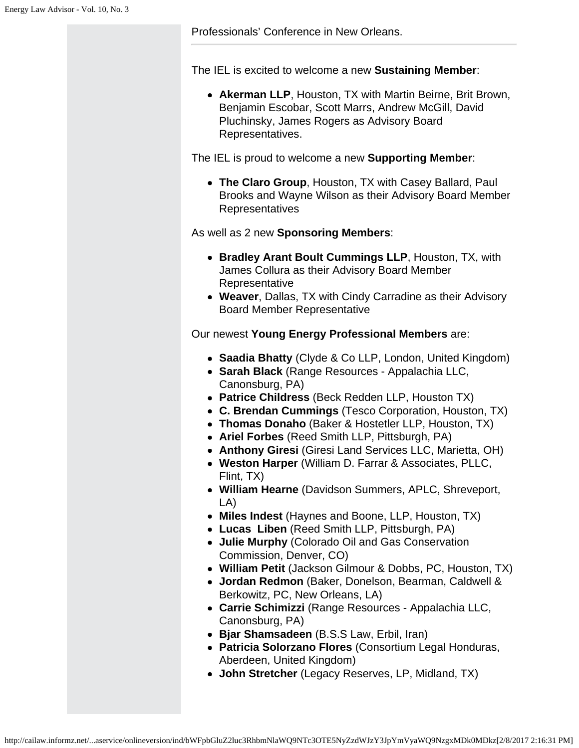Professionals' Conference in New Orleans.

The IEL is excited to welcome a new **Sustaining Member**:

**Akerman LLP**, Houston, TX with Martin Beirne, Brit Brown, Benjamin Escobar, Scott Marrs, Andrew McGill, David Pluchinsky, James Rogers as Advisory Board Representatives.

The IEL is proud to welcome a new **Supporting Member**:

**The Claro Group**, Houston, TX with Casey Ballard, Paul Brooks and Wayne Wilson as their Advisory Board Member Representatives

As well as 2 new **Sponsoring Members**:

- **Bradley Arant Boult Cummings LLP**, Houston, TX, with James Collura as their Advisory Board Member Representative
- **Weaver**, Dallas, TX with Cindy Carradine as their Advisory Board Member Representative

Our newest **Young Energy Professional Members** are:

- **Saadia Bhatty** (Clyde & Co LLP, London, United Kingdom)
- **Sarah Black** (Range Resources Appalachia LLC, Canonsburg, PA)
- **Patrice Childress** (Beck Redden LLP, Houston TX)
- **C. Brendan Cummings** (Tesco Corporation, Houston, TX)
- **Thomas Donaho** (Baker & Hostetler LLP, Houston, TX)
- **Ariel Forbes** (Reed Smith LLP, Pittsburgh, PA)
- **Anthony Giresi** (Giresi Land Services LLC, Marietta, OH)
- **Weston Harper** (William D. Farrar & Associates, PLLC, Flint, TX)
- **William Hearne** (Davidson Summers, APLC, Shreveport, LA)
- **Miles Indest** (Haynes and Boone, LLP, Houston, TX)
- **Lucas Liben** (Reed Smith LLP, Pittsburgh, PA)
- **Julie Murphy** (Colorado Oil and Gas Conservation Commission, Denver, CO)
- **William Petit** (Jackson Gilmour & Dobbs, PC, Houston, TX)
- **Jordan Redmon** (Baker, Donelson, Bearman, Caldwell & Berkowitz, PC, New Orleans, LA)
- **Carrie Schimizzi** (Range Resources Appalachia LLC, Canonsburg, PA)
- **Bjar Shamsadeen** (B.S.S Law, Erbil, Iran)
- **Patricia Solorzano Flores** (Consortium Legal Honduras, Aberdeen, United Kingdom)
- **John Stretcher** (Legacy Reserves, LP, Midland, TX)